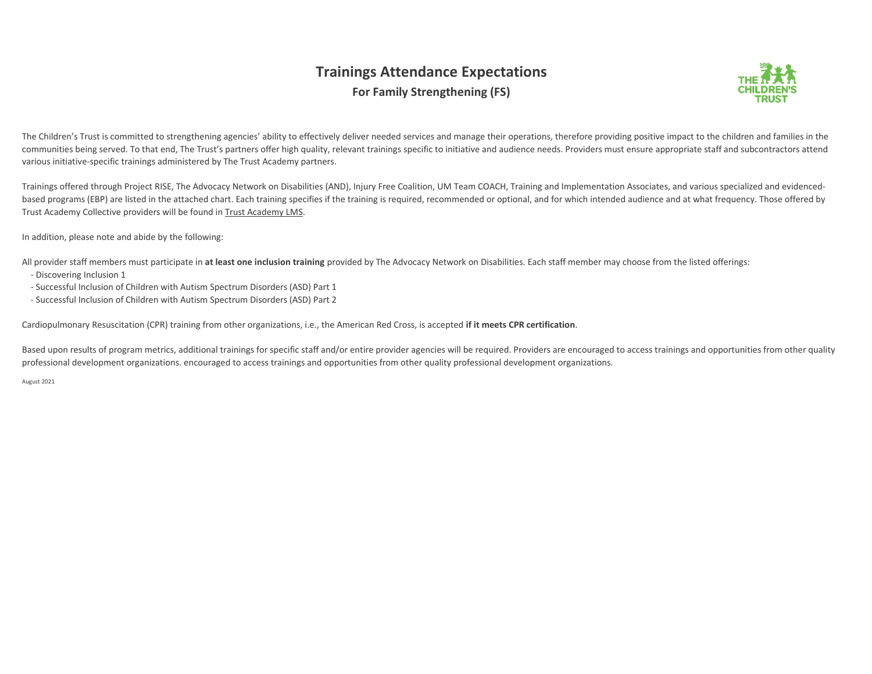## **Trainings Attendance Expectations For Family Strengthening (FS)**



The Children's Trust is committed to strengthening agencies' ability to effectively deliver needed services and manage their operations, therefore providing positive impact to the children and families in the communities being served. To that end, The Trust's partners offer high quality, relevant trainings specific to initiative and audience needs. Providers must ensure appropriate staff and subcontractors attend various initiative-specific trainings administered by The Trust Academy partners.

Trainings offered through Project RISE, The Advocacy Network on Disabilities (AND), Injury Free Coalition, UM Team COACH, Training and Implementation Associates, and various specialized and evidencedbased programs (EBP) are listed in the attached chart. Each training specifies if the training is required, recommended or optional, and for which intended audience and at what frequency. Those offered by Trust Academy Collective providers will be found in Trust Academy LMS.

In addition, please note and abide by the following:

All provider staff members must participate in **at least one inclusion training** provided by The Advocacy Network on Disabilities. Each staff member may choose from the listed offerings:

- Discovering Inclusion 1
- Successful Inclusion of Children with Autism Spectrum Disorders (ASD) Part 1
- Successful Inclusion of Children with Autism Spectrum Disorders (ASD) Part 2

Cardiopulmonary Resuscitation (CPR) training from other organizations, i.e., the American Red Cross, is accepted **if it meets CPR certification**.

Based upon results of program metrics, additional trainings for specific staff and/or entire provider agencies will be required. Providers are encouraged to access trainings and opportunities from other quality professional development organizations. encouraged to access trainings and opportunities from other quality professional development organizations.

August 2021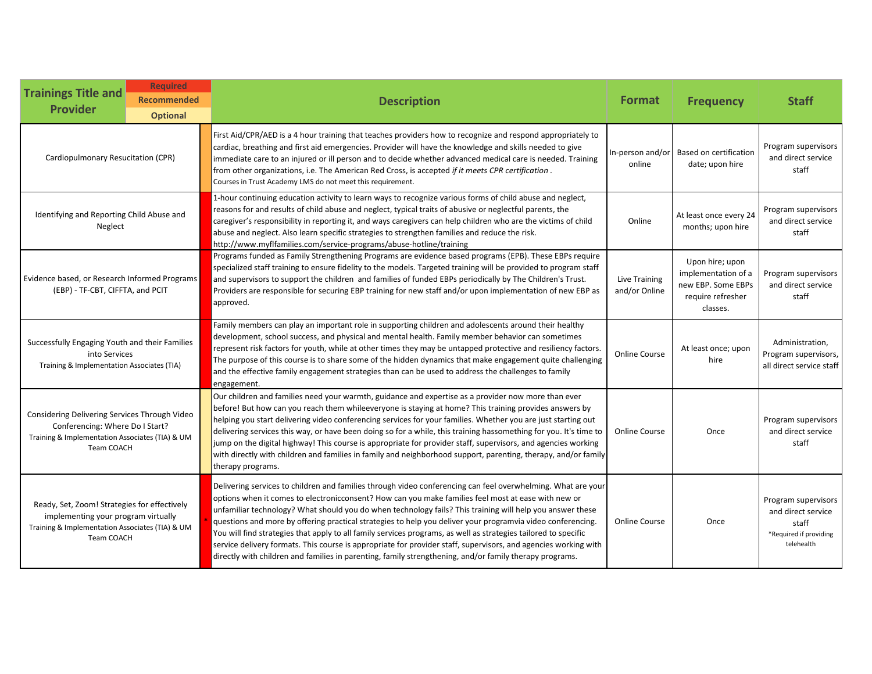| <b>Trainings Title and</b><br><b>Provider</b>                                                                                                               | <b>Required</b><br><b>Recommended</b><br><b>Optional</b> | <b>Description</b>                                                                                                                                                                                                                                                                                                                                                                                                                                                                                                                                                                                                                                                                                                                                                                               | <b>Format</b>                  | <b>Frequency</b>                                                                              | <b>Staff</b>                                                                               |
|-------------------------------------------------------------------------------------------------------------------------------------------------------------|----------------------------------------------------------|--------------------------------------------------------------------------------------------------------------------------------------------------------------------------------------------------------------------------------------------------------------------------------------------------------------------------------------------------------------------------------------------------------------------------------------------------------------------------------------------------------------------------------------------------------------------------------------------------------------------------------------------------------------------------------------------------------------------------------------------------------------------------------------------------|--------------------------------|-----------------------------------------------------------------------------------------------|--------------------------------------------------------------------------------------------|
| Cardiopulmonary Resucitation (CPR)                                                                                                                          |                                                          | First Aid/CPR/AED is a 4 hour training that teaches providers how to recognize and respond appropriately to<br>cardiac, breathing and first aid emergencies. Provider will have the knowledge and skills needed to give<br>immediate care to an injured or ill person and to decide whether advanced medical care is needed. Training<br>from other organizations, i.e. The American Red Cross, is accepted if it meets CPR certification.<br>Courses in Trust Academy LMS do not meet this requirement.                                                                                                                                                                                                                                                                                         | In-person and/or<br>online     | Based on certification<br>date; upon hire                                                     | Program supervisors<br>and direct service<br>staff                                         |
| Identifying and Reporting Child Abuse and<br>Neglect                                                                                                        |                                                          | 1-hour continuing education activity to learn ways to recognize various forms of child abuse and neglect,<br>reasons for and results of child abuse and neglect, typical traits of abusive or neglectful parents, the<br>caregiver's responsibility in reporting it, and ways caregivers can help children who are the victims of child<br>abuse and neglect. Also learn specific strategies to strengthen families and reduce the risk.<br>http://www.myflfamilies.com/service-programs/abuse-hotline/training                                                                                                                                                                                                                                                                                  | Online                         | At least once every 24<br>months; upon hire                                                   | Program supervisors<br>and direct service<br>staff                                         |
| Evidence based, or Research Informed Programs<br>(EBP) - TF-CBT, CIFFTA, and PCIT                                                                           |                                                          | Programs funded as Family Strengthening Programs are evidence based programs (EPB). These EBPs require<br>specialized staff training to ensure fidelity to the models. Targeted training will be provided to program staff<br>and supervisors to support the children and families of funded EBPs periodically by The Children's Trust.<br>Providers are responsible for securing EBP training for new staff and/or upon implementation of new EBP as<br>approved.                                                                                                                                                                                                                                                                                                                               | Live Training<br>and/or Online | Upon hire; upon<br>implementation of a<br>new EBP. Some EBPs<br>require refresher<br>classes. | Program supervisors<br>and direct service<br>staff                                         |
| Successfully Engaging Youth and their Families<br>into Services<br>Training & Implementation Associates (TIA)                                               |                                                          | Family members can play an important role in supporting children and adolescents around their healthy<br>development, school success, and physical and mental health. Family member behavior can sometimes<br>represent risk factors for youth, while at other times they may be untapped protective and resiliency factors.<br>The purpose of this course is to share some of the hidden dynamics that make engagement quite challenging<br>and the effective family engagement strategies than can be used to address the challenges to family<br>engagement.                                                                                                                                                                                                                                  | <b>Online Course</b>           | At least once; upon<br>hire                                                                   | Administration.<br>Program supervisors,<br>all direct service staff                        |
| Considering Delivering Services Through Video<br>Conferencing: Where Do I Start?<br>Training & Implementation Associates (TIA) & UM<br><b>Team COACH</b>    |                                                          | Our children and families need your warmth, guidance and expertise as a provider now more than ever<br>before! But how can you reach them whileeveryone is staying at home? This training provides answers by<br>helping you start delivering video conferencing services for your families. Whether you are just starting out<br>delivering services this way, or have been doing so for a while, this training hassomething for you. It's time to<br>jump on the digital highway! This course is appropriate for provider staff, supervisors, and agencies working<br>with directly with children and families in family and neighborhood support, parenting, therapy, and/or family<br>therapy programs.                                                                                      | <b>Online Course</b>           | Once                                                                                          | Program supervisors<br>and direct service<br>staff                                         |
| Ready, Set, Zoom! Strategies for effectively<br>implementing your program virtually<br>Training & Implementation Associates (TIA) & UM<br><b>Team COACH</b> |                                                          | Delivering services to children and families through video conferencing can feel overwhelming. What are your<br>options when it comes to electronicconsent? How can you make families feel most at ease with new or<br>unfamiliar technology? What should you do when technology fails? This training will help you answer these<br>questions and more by offering practical strategies to help you deliver your programvia video conferencing.<br>You will find strategies that apply to all family services programs, as well as strategies tailored to specific<br>service delivery formats. This course is appropriate for provider staff, supervisors, and agencies working with<br>directly with children and families in parenting, family strengthening, and/or family therapy programs. | <b>Online Course</b>           | Once                                                                                          | Program supervisors<br>and direct service<br>staff<br>*Required if providing<br>telehealth |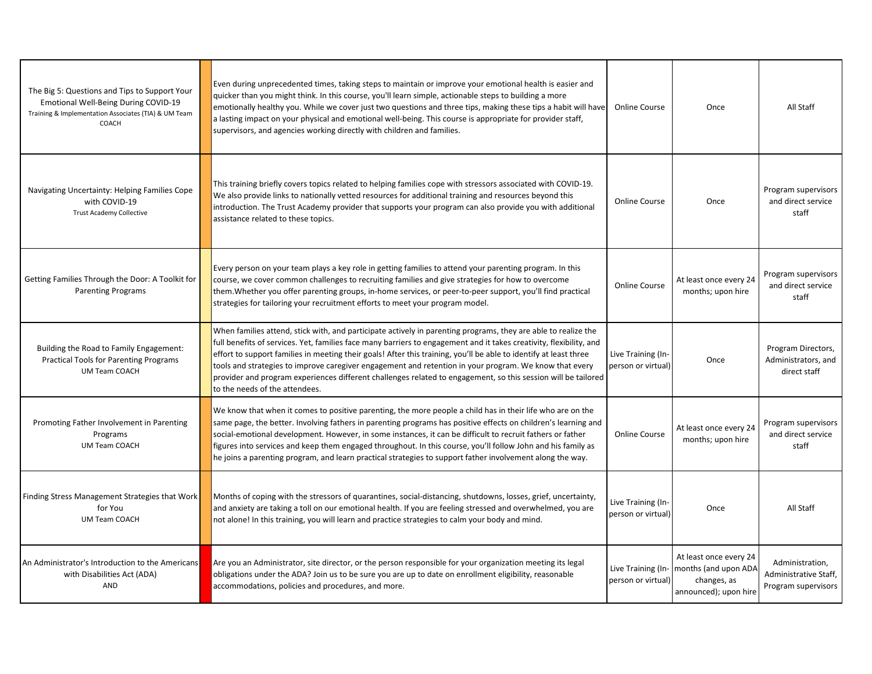| The Big 5: Questions and Tips to Support Your<br><b>Emotional Well-Being During COVID-19</b><br>Training & Implementation Associates (TIA) & UM Team<br>COACH | Even during unprecedented times, taking steps to maintain or improve your emotional health is easier and<br>quicker than you might think. In this course, you'll learn simple, actionable steps to building a more<br>emotionally healthy you. While we cover just two questions and three tips, making these tips a habit will have<br>a lasting impact on your physical and emotional well-being. This course is appropriate for provider staff,<br>supervisors, and agencies working directly with children and families.                                                                                            | <b>Online Course</b>                     | Once                                                                                   | All Staff                                                       |
|---------------------------------------------------------------------------------------------------------------------------------------------------------------|-------------------------------------------------------------------------------------------------------------------------------------------------------------------------------------------------------------------------------------------------------------------------------------------------------------------------------------------------------------------------------------------------------------------------------------------------------------------------------------------------------------------------------------------------------------------------------------------------------------------------|------------------------------------------|----------------------------------------------------------------------------------------|-----------------------------------------------------------------|
| Navigating Uncertainty: Helping Families Cope<br>with COVID-19<br><b>Trust Academy Collective</b>                                                             | This training briefly covers topics related to helping families cope with stressors associated with COVID-19.<br>We also provide links to nationally vetted resources for additional training and resources beyond this<br>introduction. The Trust Academy provider that supports your program can also provide you with additional<br>assistance related to these topics.                                                                                                                                                                                                                                              | <b>Online Course</b>                     | Once                                                                                   | Program supervisors<br>and direct service<br>staff              |
| Getting Families Through the Door: A Toolkit for<br><b>Parenting Programs</b>                                                                                 | Every person on your team plays a key role in getting families to attend your parenting program. In this<br>course, we cover common challenges to recruiting families and give strategies for how to overcome<br>them. Whether you offer parenting groups, in-home services, or peer-to-peer support, you'll find practical<br>strategies for tailoring your recruitment efforts to meet your program model.                                                                                                                                                                                                            | <b>Online Course</b>                     | At least once every 24<br>months; upon hire                                            | Program supervisors<br>and direct service<br>staff              |
| Building the Road to Family Engagement:<br><b>Practical Tools for Parenting Programs</b><br><b>UM Team COACH</b>                                              | When families attend, stick with, and participate actively in parenting programs, they are able to realize the<br>full benefits of services. Yet, families face many barriers to engagement and it takes creativity, flexibility, and<br>effort to support families in meeting their goals! After this training, you'll be able to identify at least three<br>tools and strategies to improve caregiver engagement and retention in your program. We know that every<br>provider and program experiences different challenges related to engagement, so this session will be tailored<br>to the needs of the attendees. | Live Training (In-<br>person or virtual) | Once                                                                                   | Program Directors,<br>Administrators, and<br>direct staff       |
| Promoting Father Involvement in Parenting<br>Programs<br><b>UM Team COACH</b>                                                                                 | We know that when it comes to positive parenting, the more people a child has in their life who are on the<br>same page, the better. Involving fathers in parenting programs has positive effects on children's learning and<br>social-emotional development. However, in some instances, it can be difficult to recruit fathers or father<br>figures into services and keep them engaged throughout. In this course, you'll follow John and his family as<br>he joins a parenting program, and learn practical strategies to support father involvement along the way.                                                 | <b>Online Course</b>                     | At least once every 24<br>months; upon hire                                            | Program supervisors<br>and direct service<br>staff              |
| Finding Stress Management Strategies that Work<br>for You<br><b>UM Team COACH</b>                                                                             | Months of coping with the stressors of quarantines, social-distancing, shutdowns, losses, grief, uncertainty,<br>and anxiety are taking a toll on our emotional health. If you are feeling stressed and overwhelmed, you are<br>not alone! In this training, you will learn and practice strategies to calm your body and mind.                                                                                                                                                                                                                                                                                         | Live Training (In-<br>person or virtual) | Once                                                                                   | All Staff                                                       |
| An Administrator's Introduction to the Americans<br>with Disabilities Act (ADA)<br>AND                                                                        | Are you an Administrator, site director, or the person responsible for your organization meeting its legal<br>obligations under the ADA? Join us to be sure you are up to date on enrollment eligibility, reasonable<br>accommodations, policies and procedures, and more.                                                                                                                                                                                                                                                                                                                                              | Live Training (In-<br>person or virtual) | At least once every 24<br>months (and upon ADA<br>changes, as<br>announced); upon hire | Administration.<br>Administrative Staff,<br>Program supervisors |